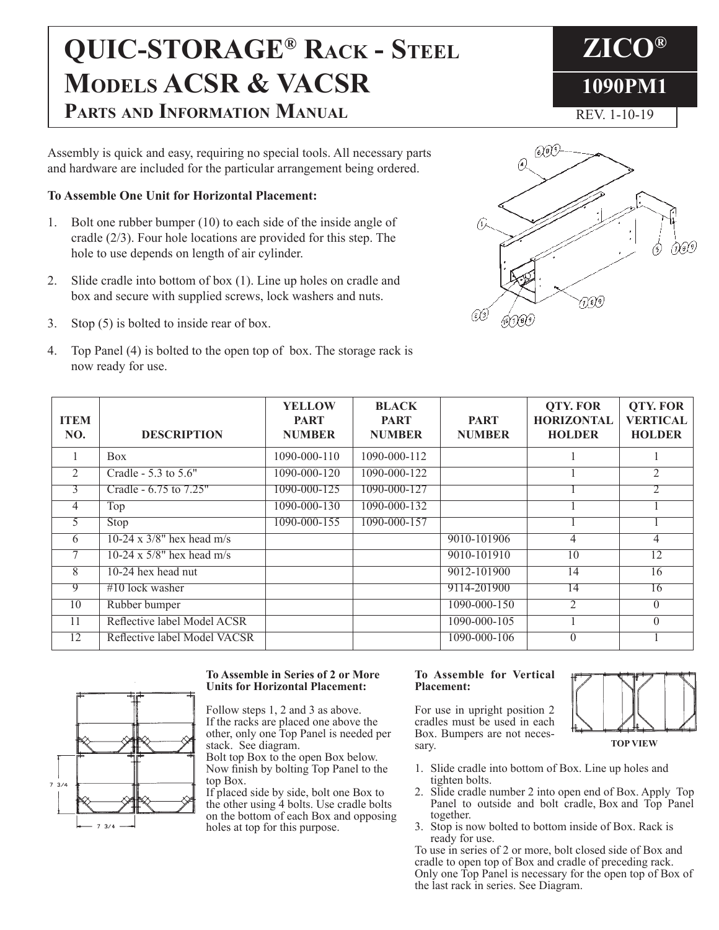# **QUIC-STORAGE® Rack - Steel Models ACSR & VACSR Parts and Information Manual**

Assembly is quick and easy, requiring no special tools. All necessary parts and hardware are included for the particular arrangement being ordered.

### **To Assemble One Unit for Horizontal Placement:**

- 1. Bolt one rubber bumper (10) to each side of the inside angle of cradle (2/3). Four hole locations are provided for this step. The hole to use depends on length of air cylinder.
- 2. Slide cradle into bottom of box (1). Line up holes on cradle and box and secure with supplied screws, lock washers and nuts.
- 3. Stop (5) is bolted to inside rear of box.
- 4. Top Panel (4) is bolted to the open top of box. The storage rack is now ready for use.





| <b>ITEM</b><br>NO. | <b>DESCRIPTION</b>           | <b>YELLOW</b><br><b>PART</b><br><b>NUMBER</b> | <b>BLACK</b><br><b>PART</b><br><b>NUMBER</b> | <b>PART</b><br><b>NUMBER</b> | <b>QTY. FOR</b><br><b>HORIZONTAL</b><br><b>HOLDER</b> | <b>QTY. FOR</b><br><b>VERTICAL</b><br><b>HOLDER</b> |
|--------------------|------------------------------|-----------------------------------------------|----------------------------------------------|------------------------------|-------------------------------------------------------|-----------------------------------------------------|
| 1                  | <b>Box</b>                   | $1090 - 000 - 110$                            | 1090-000-112                                 |                              |                                                       |                                                     |
| 2                  | Cradle - 5.3 to 5.6"         | 1090-000-120                                  | 1090-000-122                                 |                              |                                                       | $\overline{2}$                                      |
| 3                  | Cradle - 6.75 to 7.25"       | 1090-000-125                                  | 1090-000-127                                 |                              |                                                       | 2                                                   |
| 4                  | Top                          | $1090 - 000 - 130$                            | 1090-000-132                                 |                              |                                                       |                                                     |
| 5.                 | Stop                         | 1090-000-155                                  | 1090-000-157                                 |                              |                                                       |                                                     |
| 6                  | 10-24 x $3/8$ " hex head m/s |                                               |                                              | 9010-101906                  | $\overline{4}$                                        | 4                                                   |
| 7                  | 10-24 x $5/8$ " hex head m/s |                                               |                                              | 9010-101910                  | 10                                                    | 12                                                  |
| $\overline{8}$     | 10-24 hex head nut           |                                               |                                              | 9012-101900                  | 14                                                    | 16                                                  |
| 9                  | $\#10$ lock washer           |                                               |                                              | 9114-201900                  | 14                                                    | 16                                                  |
| 10                 | Rubber bumper                |                                               |                                              | 1090-000-150                 | 2                                                     | $\theta$                                            |
| 11                 | Reflective label Model ACSR  |                                               |                                              | 1090-000-105                 |                                                       | $\Omega$                                            |
| 12                 | Reflective label Model VACSR |                                               |                                              | 1090-000-106                 | $\theta$                                              |                                                     |



#### **To Assemble in Series of 2 or More Units for Horizontal Placement:**

Follow steps 1, 2 and 3 as above. If the racks are placed one above the other, only one Top Panel is needed per stack. See diagram.

Bolt top Box to the open Box below. Now finish by bolting Top Panel to the top Box.

If placed side by side, bolt one Box to the other using 4 bolts. Use cradle bolts on the bottom of each Box and opposing holes at top for this purpose.

#### **To Assemble for Vertical Placement:**

For use in upright position 2 cradles must be used in each Box. Bumpers are not necessary.



- **TOP VIEW**
- 1. Slide cradle into bottom of Box. Line up holes and tighten bolts.
- 2. Slide cradle number 2 into open end of Box. Apply Top Panel to outside and bolt cradle, Box and Top Panel together.
- 3. Stop is now bolted to bottom inside of Box. Rack is ready for use.

To use in series of 2 or more, bolt closed side of Box and cradle to open top of Box and cradle of preceding rack. Only one Top Panel is necessary for the open top of Box of the last rack in series. See Diagram.